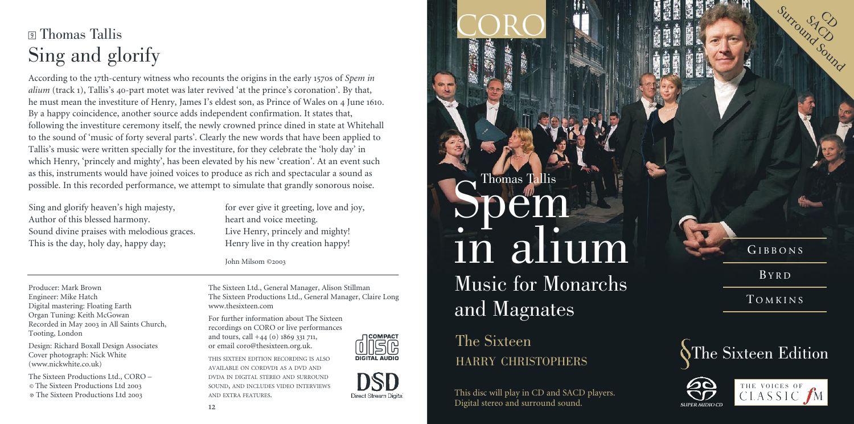# <sup>9</sup> Thomas Tallis Sing and glorify

According to the 17th-century witness who recounts the origins in the early 1570s of *Spem in alium* (track 1), Tallis's 40-part motet was later revived 'at the prince's coronation'. By that, he must mean the investiture of Henry, James I's eldest son, as Prince of Wales on 4 June 1610. By a happy coincidence, another source adds independent confirmation. It states that, following the investiture ceremony itself, the newly crowned prince dined in state at Whitehall to the sound of 'music of forty several parts'. Clearly the new words that have been applied to Tallis's music were written specially for the investiture, for they celebrate the 'holy day' in which Henry, 'princely and mighty', has been elevated by his new 'creation'. At an event such as this, instruments would have joined voices to produce as rich and spectacular a sound as possible. In this recorded performance, we attempt to simulate that grandly sonorous noise.

Sing and glorify heaven's high majesty, Author of this blessed harmony. Sound divine praises with melodious graces. This is the day, holy day, happy day;

for ever give it greeting, love and joy, heart and voice meeting. Live Henry, princely and mighty! Henry live in thy creation happy!

John Milsom ©2003

Producer: Mark Brown Engineer: Mike Hatch Digital mastering: Floating Earth Organ Tuning: Keith McGowan Recorded in May 2003 in All Saints Church, Tooting, London

Design: Richard Boxall Design Associates Cover photograph: Nick White (www.nickwhite.co.uk)

The Sixteen Productions Ltd., CORO – © The Sixteen Productions Ltd 2003 The Sixteen Productions Ltd 2003

The Sixteen Ltd., General Manager, Alison Stillman The Sixteen Productions Ltd., General Manager, Claire Long www.thesixteen.com

For further information about The Sixteen recordings on CORO or live performances and tours, call +44 (0) 1869 331 711, or email coro@thesixteen.org.uk.

THIS SIXTEEN EDITION RECORDING IS ALSO AVAILABLE ON CORDVD1 AS A DVD AND DVDA IN DIGITAL STEREO AND SURROUND SOUND, AND INCLUDES VIDEO INTERVIEWS AND EXTRA FEATURES.



Direct Stream Digita

# Music for Monarchs and Magnates  $S$ Demas Tallis in alium

CORO

The Sixteen HARRY CHRISTOPHERS

This disc will play in CD and SACD players. Digital stereo and surround sound.

**TOMKINS** 

G I B B O N S BY R D

SACO<br>SACO  $\infty$ 

Sound S





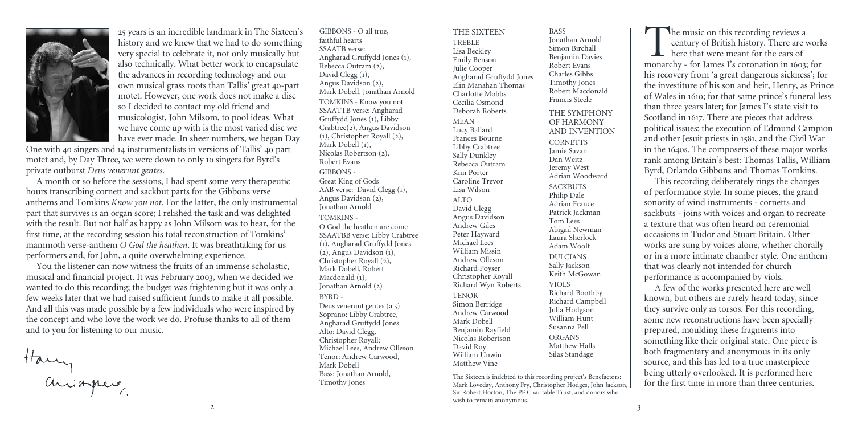

history and we knew that we had to do something very special to celebrate it, not only musically but also technically. What better work to encapsulate the advances in recording technology and our own musical grass roots than Tallis' great 40-part motet. However, one work does not make a disc so I decided to contact my old friend and musicologist, John Milsom, to pool ideas. What we have come up with is the most varied disc we have ever made. In sheer numbers, we began Day

One with 40 singers and 14 instrumentalists in versions of Tallis' 40 part motet and, by Day Three, we were down to only 10 singers for Byrd's private outburst *Deus venerunt gentes*.

A month or so before the sessions, I had spent some very therapeutic hours transcribing cornett and sackbut parts for the Gibbons verse anthems and Tomkins *Know you not*. For the latter, the only instrumental part that survives is an organ score; I relished the task and was delighted with the result. But not half as happy as John Milsom was to hear, for the first time, at the recording session his total reconstruction of Tomkins' mammoth verse-anthem *O God the heathen*. It was breathtaking for us performers and, for John, a quite overwhelming experience.

You the listener can now witness the fruits of an immense scholastic, musical and financial project. It was February 2003, when we decided we wanted to do this recording; the budget was frightening but it was only a few weeks later that we had raised sufficient funds to make it all possible. And all this was made possible by a few individuals who were inspired by the concept and who love the work we do. Profuse thanks to all of them and to you for listening to our music.

Harry<br>anisaper

25 years is an incredible landmark in The Sixteen's

faithful hearts SSAATB verse: Angharad Gruffydd Jones (1), Rebecca Outram (2), David Clegg (1), Angus Davidson (2), Mark Dobell, Jonathan Arnold TOMKINS - Know you not SSAATTB verse: Angharad Gruffydd Jones (1), Libby Crabtree(2), Angus Davidson (1), Christopher Royall (2), Mark Dobell (1), Nicolas Robertson (2), Robert Evans GIBBONS - Great King of Gods AAB verse: David Clegg (1), Angus Davidson (2), Jonathan Arnold TOMKINS - O God the heathen are come SSAATBB verse: Libby Crabtree (1), Angharad Gruffydd Jones (2), Angus Davidson (1), Christopher Royall (2), Mark Dobell, Robert Macdonald (1), Jonathan Arnold (2) BYRD - Deus venerunt gentes (a 5) Soprano: Libby Crabtree, Angharad Gruffydd Jones Alto: David Clegg. Christopher Royall; Michael Lees, Andrew Olleson Tenor: Andrew Carwood, Mark Dobell Bass: Jonathan Arnold,

Timothy Jones

GIBBONS - O all true,

THE SIXTEEN TREBLE Lisa Beckley Emily Benson Julie Cooper Angharad Gruffydd Jones Elin Manahan Thomas Charlotte Mobbs Cecilia Osmond Deborah Roberts MEAN Lucy Ballard Frances Bourne Libby Crabtree Sally Dunkley Rebecca Outram Kim Porter Caroline Trevor Lisa Wilson ALTO David Clegg Angus Davidson Andrew Giles Peter Hayward Michael Lees William Missin Andrew Olleson Richard Poyser Christopher Royall Richard Wyn Roberts **TENOR** Simon Berridge Andrew Carwood Mark Dobell Benjamin Rayfield Nicolas Robertson David Roy William Unwin Matthew Vine

BASS Jonathan Arnold Simon Birchall Benjamin Davies Robert Evans Charles Gibbs Timothy Jones Robert Macdonald Francis Steele THE SYMPHONY OF HARMONY AND INVENTION **CORNETTS** Jamie Savan Dan Weitz Jeremy West Adrian Woodward **SACKBUTS** Philip Dale Adrian France Patrick Jackman Tom Lees Abigail Newman Laura Sherlock Adam Woolf DULCIANS Sally Jackson Keith McGowan VIOLS Richard Boothby Richard Campbell Julia Hodgson William Hunt Susanna Pell ORGANS Matthew Halls Silas Standage

The Sixteen is indebted to this recording project's Benefactors: Mark Loveday, Anthony Fry, Christopher Hodges, John Jackson, Sir Robert Horton, The PF Charitable Trust, and donors who wish to remain anonymous.

The music on this recording reviews a<br>century of British history. There are work<br>here that were meant for the ears of<br>monarchy - for James I's coronation in 1603; for century of British history. There are works here that were meant for the ears of his recovery from 'a great dangerous sickness'; for the investiture of his son and heir, Henry, as Prince of Wales in 1610; for that same prince's funeral less than three years later; for James I's state visit to Scotland in 1617. There are pieces that address political issues: the execution of Edmund Campion and other Jesuit priests in 1581, and the Civil War in the 1640s. The composers of these major works rank among Britain's best: Thomas Tallis, William Byrd, Orlando Gibbons and Thomas Tomkins.

This recording deliberately rings the changes of performance style. In some pieces, the grand sonority of wind instruments - cornetts and sackbuts - joins with voices and organ to recreate a texture that was often heard on ceremonial occasions in Tudor and Stuart Britain. Other works are sung by voices alone, whether chorally or in a more intimate chamber style. One anthem that was clearly not intended for church performance is accompanied by viols.

A few of the works presented here are well known, but others are rarely heard today, since they survive only as torsos. For this recording, some new reconstructions have been specially prepared, moulding these fragments into something like their original state. One piece is both fragmentary and anonymous in its only source, and this has led to a true masterpiece being utterly overlooked. It is performed here for the first time in more than three centuries.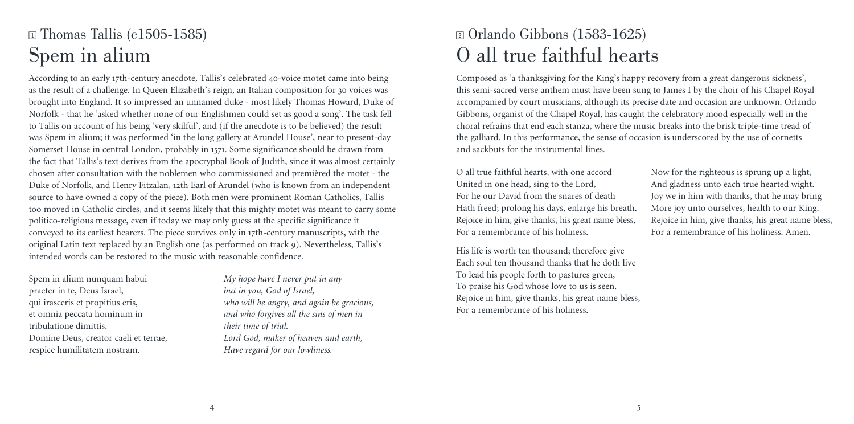## $\text{I}$  Thomas Tallis (c1505-1585) Spem in alium

According to an early 17th-century anecdote, Tallis's celebrated 40-voice motet came into being as the result of a challenge. In Queen Elizabeth's reign, an Italian composition for 30 voices was brought into England. It so impressed an unnamed duke - most likely Thomas Howard, Duke of Norfolk - that he 'asked whether none of our Englishmen could set as good a song'. The task fell to Tallis on account of his being 'very skilful', and (if the anecdote is to be believed) the result was Spem in alium; it was performed 'in the long gallery at Arundel House', near to present-day Somerset House in central London, probably in 1571. Some significance should be drawn from the fact that Tallis's text derives from the apocryphal Book of Judith, since it was almost certainly chosen after consultation with the noblemen who commissioned and premièred the motet - the Duke of Norfolk, and Henry Fitzalan, 12th Earl of Arundel (who is known from an independent source to have owned a copy of the piece). Both men were prominent Roman Catholics, Tallis too moved in Catholic circles, and it seems likely that this mighty motet was meant to carry some politico-religious message, even if today we may only guess at the specific significance it conveyed to its earliest hearers. The piece survives only in 17th-century manuscripts, with the original Latin text replaced by an English one (as performed on track 9). Nevertheless, Tallis's intended words can be restored to the music with reasonable confidence.

Spem in alium nunquam habui praeter in te, Deus Israel, qui irasceris et propitius eris, et omnia peccata hominum in tribulatione dimittis. Domine Deus, creator caeli et terrae, respice humilitatem nostram.

*My hope have I never put in any but in you, God of Israel, who will be angry, and again be gracious, and who forgives all the sins of men in their time of trial. Lord God, maker of heaven and earth, Have regard for our lowliness.*

#### <sup>2</sup> Orlando Gibbons (1583-1625) O all true faithful hearts

Composed as 'a thanksgiving for the King's happy recovery from a great dangerous sickness', this semi-sacred verse anthem must have been sung to James I by the choir of his Chapel Royal accompanied by court musicians, although its precise date and occasion are unknown. Orlando Gibbons, organist of the Chapel Royal, has caught the celebratory mood especially well in the choral refrains that end each stanza, where the music breaks into the brisk triple-time tread of the galliard. In this performance, the sense of occasion is underscored by the use of cornetts and sackbuts for the instrumental lines.

O all true faithful hearts, with one accord United in one head, sing to the Lord, For he our David from the snares of death Hath freed; prolong his days, enlarge his breath. Rejoice in him, give thanks, his great name bless, For a remembrance of his holiness.

His life is worth ten thousand; therefore give Each soul ten thousand thanks that he doth live To lead his people forth to pastures green, To praise his God whose love to us is seen. Rejoice in him, give thanks, his great name bless, For a remembrance of his holiness.

Now for the righteous is sprung up a light, And gladness unto each true hearted wight. Joy we in him with thanks, that he may bring More joy unto ourselves, health to our King. Rejoice in him, give thanks, his great name bless, For a remembrance of his holiness. Amen.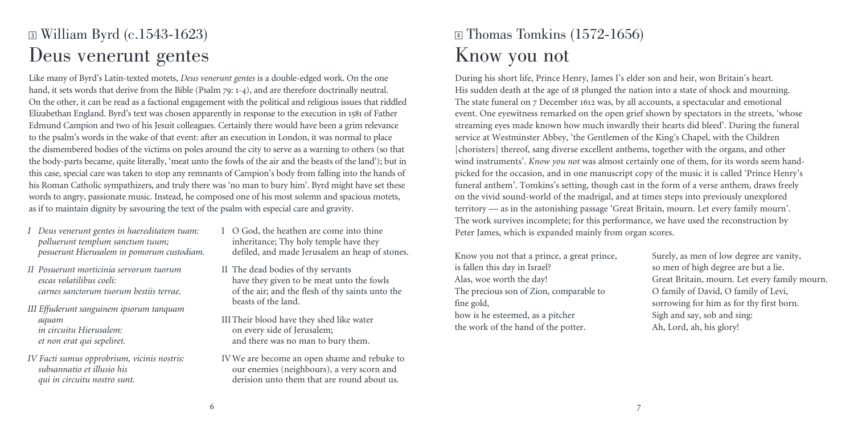## **3** William Byrd (c.1543-1623) Deus venerunt gentes

Like many of Byrd's Latin-texted motets, *Deus venerunt gentes* is a double-edged work. On the one hand, it sets words that derive from the Bible (Psalm 79: 1-4), and are therefore doctrinally neutral. On the other, it can be read as a factional engagement with the political and religious issues that riddled Elizabethan England. Byrd's text was chosen apparently in response to the execution in 1581 of Father Edmund Campion and two of his Jesuit colleagues. Certainly there would have been a grim relevance to the psalm's words in the wake of that event: after an execution in London, it was normal to place the dismembered bodies of the victims on poles around the city to serve as a warning to others (so that the body-parts became, quite literally, 'meat unto the fowls of the air and the beasts of the land'); but in this case, special care was taken to stop any remnants of Campion's body from falling into the hands of his Roman Catholic sympathizers, and truly there was 'no man to bury him'. Byrd might have set these words to angry, passionate music. Instead, he composed one of his most solemn and spacious motets, as if to maintain dignity by savouring the text of the psalm with especial care and gravity.

- *I Deus venerunt gentes in haereditatem tuam: polluerunt templum sanctum tuum; posuerunt Hierusalem in pomorum custodiam.*
- *II Posuerunt morticinia servorum tuorum escas volatilibus coeli: carnes sanctorum tuorum bestiis terrae.*
- *III Effuderunt sanguinem ipsorum tanquam aquam in circuitu Hierusalem: et non erat qui sepeliret.*
- *IV Facti sumus opprobrium, vicinis nostris: subsannatio et illusio his qui in circuitu nostro sunt.*
- $I \cap G$  od, the heathen are come into thine inheritance; Thy holy temple have they defiled, and made Jerusalem an heap of stones.
- II The dead bodies of thy servants have they given to be meat unto the fowls of the air; and the flesh of thy saints unto the beasts of the land.

III Their blood have they shed like water on every side of Jerusalem; and there was no man to bury them.

IV We are become an open shame and rebuke to our enemies (neighbours), a very scorn and derision unto them that are round about us.

## $\overline{4}$  Thomas Tomkins (1572-1656) Know you not

During his short life, Prince Henry, James I's elder son and heir, won Britain's heart. His sudden death at the age of 18 plunged the nation into a state of shock and mourning. The state funeral on 7 December 1612 was, by all accounts, a spectacular and emotional event. One eyewitness remarked on the open grief shown by spectators in the streets, 'whose streaming eyes made known how much inwardly their hearts did bleed'. During the funeral service at Westminster Abbey, 'the Gentlemen of the King's Chapel, with the Children [choristers] thereof, sang diverse excellent anthems, together with the organs, and other wind instruments'. *Know you not* was almost certainly one of them, for its words seem handpicked for the occasion, and in one manuscript copy of the music it is called 'Prince Henry's funeral anthem'. Tomkins's setting, though cast in the form of a verse anthem, draws freely on the vivid sound-world of the madrigal, and at times steps into previously unexplored territory — as in the astonishing passage 'Great Britain, mourn. Let every family mourn'. The work survives incomplete; for this performance, we have used the reconstruction by Peter James, which is expanded mainly from organ scores.

Know you not that a prince, a great prince, is fallen this day in Israel? Alas, woe worth the day! The precious son of Zion, comparable to fine gold, how is he esteemed, as a pitcher the work of the hand of the potter.

Surely, as men of low degree are vanity, so men of high degree are but a lie. Great Britain, mourn. Let every family mourn. O family of David, O family of Levi, sorrowing for him as for thy first born. Sigh and say, sob and sing: Ah, Lord, ah, his glory!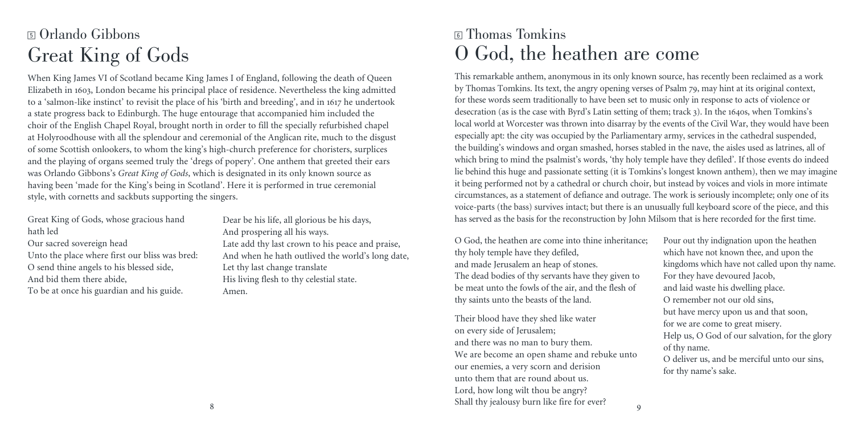# <sup>5</sup> Orlando Gibbons Great King of Gods

When King James VI of Scotland became King James I of England, following the death of Queen Elizabeth in 1603, London became his principal place of residence. Nevertheless the king admitted to a 'salmon-like instinct' to revisit the place of his 'birth and breeding', and in 1617 he undertook a state progress back to Edinburgh. The huge entourage that accompanied him included the choir of the English Chapel Royal, brought north in order to fill the specially refurbished chapel at Holyroodhouse with all the splendour and ceremonial of the Anglican rite, much to the disgust of some Scottish onlookers, to whom the king's high-church preference for choristers, surplices and the playing of organs seemed truly the 'dregs of popery'. One anthem that greeted their ears was Orlando Gibbons's *Great King of Gods*, which is designated in its only known source as having been 'made for the King's being in Scotland'. Here it is performed in true ceremonial style, with cornetts and sackbuts supporting the singers.

Great King of Gods, whose gracious hand hath led Our sacred sovereign head Unto the place where first our bliss was bred: O send thine angels to his blessed side, And bid them there abide, To be at once his guardian and his guide.

Dear be his life, all glorious be his days, And prospering all his ways. Late add thy last crown to his peace and praise, And when he hath outlived the world's long date, Let thy last change translate His living flesh to thy celestial state. Amen.

#### <sup>6</sup> Thomas Tomkins O God, the heathen are come

This remarkable anthem, anonymous in its only known source, has recently been reclaimed as a work by Thomas Tomkins. Its text, the angry opening verses of Psalm 79, may hint at its original context, for these words seem traditionally to have been set to music only in response to acts of violence or desecration (as is the case with Byrd's Latin setting of them; track 3). In the 1640s, when Tomkins's local world at Worcester was thrown into disarray by the events of the Civil War, they would have been especially apt: the city was occupied by the Parliamentary army, services in the cathedral suspended, the building's windows and organ smashed, horses stabled in the nave, the aisles used as latrines, all of which bring to mind the psalmist's words, 'thy holy temple have they defiled'. If those events do indeed lie behind this huge and passionate setting (it is Tomkins's longest known anthem), then we may imagine it being performed not by a cathedral or church choir, but instead by voices and viols in more intimate circumstances, as a statement of defiance and outrage. The work is seriously incomplete; only one of its voice-parts (the bass) survives intact; but there is an unusually full keyboard score of the piece, and this has served as the basis for the reconstruction by John Milsom that is here recorded for the first time.

O God, the heathen are come into thine inheritance; thy holy temple have they defiled, and made Jerusalem an heap of stones. The dead bodies of thy servants have they given to be meat unto the fowls of the air, and the flesh of thy saints unto the beasts of the land.

Their blood have they shed like water on every side of Jerusalem; and there was no man to bury them. We are become an open shame and rebuke unto our enemies, a very scorn and derision unto them that are round about us. Lord, how long wilt thou be angry? Shall thy jealousy burn like fire for ever?

Pour out thy indignation upon the heathen which have not known thee, and upon the kingdoms which have not called upon thy name. For they have devoured Jacob, and laid waste his dwelling place. O remember not our old sins, but have mercy upon us and that soon, for we are come to great misery. Help us, O God of our salvation, for the glory of thy name. O deliver us, and be merciful unto our sins, for thy name's sake.